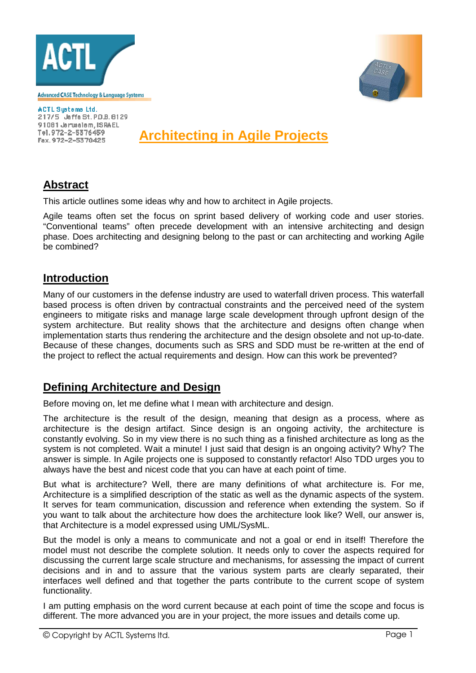



ACTL Systems Ltd. 217/5 Jaffa St. P.D.B. 8129 91081 Jerusalem, ISRAEL Tel. 972-2-5376459 Fax. 972-2-5370425

**Architecting in Agile Projects**

## **Abstract**

This article outlines some ideas why and how to architect in Agile projects.

Agile teams often set the focus on sprint based delivery of working code and user stories. "Conventional teams" often precede development with an intensive architecting and design phase. Does architecting and designing belong to the past or can architecting and working Agile be combined?

## **Introduction**

Many of our customers in the defense industry are used to waterfall driven process. This waterfall based process is often driven by contractual constraints and the perceived need of the system engineers to mitigate risks and manage large scale development through upfront design of the system architecture. But reality shows that the architecture and designs often change when implementation starts thus rendering the architecture and the design obsolete and not up-to-date. Because of these changes, documents such as SRS and SDD must be re-written at the end of the project to reflect the actual requirements and design. How can this work be prevented?

## **Defining Architecture and Design**

Before moving on, let me define what I mean with architecture and design.

The architecture is the result of the design, meaning that design as a process, where as architecture is the design artifact. Since design is an ongoing activity, the architecture is constantly evolving. So in my view there is no such thing as a finished architecture as long as the system is not completed. Wait a minute! I just said that design is an ongoing activity? Why? The answer is simple. In Agile projects one is supposed to constantly refactor! Also TDD urges you to always have the best and nicest code that you can have at each point of time.

But what is architecture? Well, there are many definitions of what architecture is. For me, Architecture is a simplified description of the static as well as the dynamic aspects of the system. It serves for team communication, discussion and reference when extending the system. So if you want to talk about the architecture how does the architecture look like? Well, our answer is, that Architecture is a model expressed using UML/SysML.

But the model is only a means to communicate and not a goal or end in itself! Therefore the model must not describe the complete solution. It needs only to cover the aspects required for discussing the current large scale structure and mechanisms, for assessing the impact of current decisions and in and to assure that the various system parts are clearly separated, their interfaces well defined and that together the parts contribute to the current scope of system functionality.

I am putting emphasis on the word current because at each point of time the scope and focus is different. The more advanced you are in your project, the more issues and details come up.